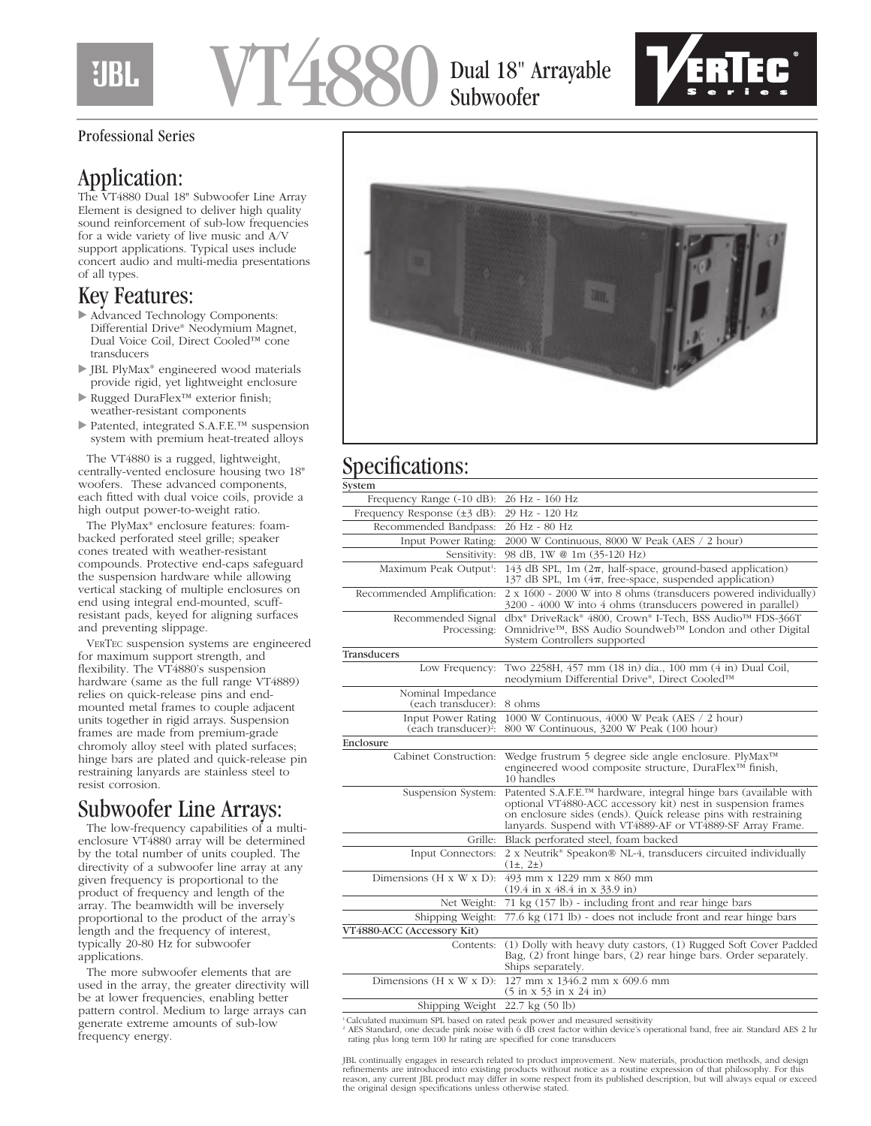## HBI.

# VT4880

Dual 18" Arrayable Subwoofer



#### Professional Series

## Application:

The VT4880 Dual 18" Subwoofer Line Array Element is designed to deliver high quality sound reinforcement of sub-low frequencies for a wide variety of live music and A/V support applications. Typical uses include concert audio and multi-media presentations of all types.

#### Key Features:

- Advanced Technology Components: Differential Drive® Neodymium Magnet, Dual Voice Coil, Direct Cooled™ cone transducers
- JBL PlyMax® engineered wood materials provide rigid, yet lightweight enclosure
- Rugged DuraFlex™ exterior finish; weather-resistant components
- Patented, integrated S.A.F.E.™ suspension system with premium heat-treated alloys

The VT4880 is a rugged, lightweight, centrally-vented enclosure housing two 18" woofers. These advanced components, each fitted with dual voice coils, provide a high output power-to-weight ratio.

The PlyMax® enclosure features: foambacked perforated steel grille; speaker cones treated with weather-resistant compounds. Protective end-caps safeguard the suspension hardware while allowing vertical stacking of multiple enclosures on end using integral end-mounted, scuffresistant pads, keyed for aligning surfaces and preventing slippage.

VERTEC suspension systems are engineered for maximum support strength, and flexibility. The VT4880's suspension hardware (same as the full range VT4889) relies on quick-release pins and endmounted metal frames to couple adjacent units together in rigid arrays. Suspension frames are made from premium-grade chromoly alloy steel with plated surfaces; hinge bars are plated and quick-release pin restraining lanyards are stainless steel to resist corrosion.

## Subwoofer Line Arrays:

The low-frequency capabilities of a multienclosure VT4880 array will be determined by the total number of units coupled. The directivity of a subwoofer line array at any given frequency is proportional to the product of frequency and length of the array. The beamwidth will be inversely proportional to the product of the array's length and the frequency of interest, typically 20-80 Hz for subwoofer applications.

The more subwoofer elements that are used in the array, the greater directivity will be at lower frequencies, enabling better pattern control. Medium to large arrays can generate extreme amounts of sub-low frequency energy.



## Specifications:

| 26 Hz - 160 Hz<br>Frequency Range (-10 dB):                                                                                                                                                                                                                                            |
|----------------------------------------------------------------------------------------------------------------------------------------------------------------------------------------------------------------------------------------------------------------------------------------|
| 29 Hz - 120 Hz<br>Frequency Response $(\pm 3 \text{ dB})$ :                                                                                                                                                                                                                            |
| 26 Hz - 80 Hz<br>Recommended Bandpass:                                                                                                                                                                                                                                                 |
| 2000 W Continuous, 8000 W Peak (AES / 2 hour)<br>Input Power Rating:                                                                                                                                                                                                                   |
| 98 dB, 1W @ 1m (35-120 Hz)<br>Sensitivity:                                                                                                                                                                                                                                             |
| 143 dB SPL, 1m $(2\pi, \text{ half-space}, \text{ ground-based application})$<br>Maximum Peak Output <sup>1</sup> :<br>137 dB SPL, 1m $(4\pi,$ free-space, suspended application)                                                                                                      |
| 2 x 1600 - 2000 W into 8 ohms (transducers powered individually)<br>Recommended Amplification:<br>3200 - 4000 W into 4 ohms (transducers powered in parallel)                                                                                                                          |
| dbx <sup>®</sup> DriveRack <sup>®</sup> 4800, Crown® I-Tech, BSS Audio™ FDS-366T<br>Recommended Signal<br>Omnidrive™, BSS Audio Soundweb™ London and other Digital<br>Processing:<br>System Controllers supported                                                                      |
|                                                                                                                                                                                                                                                                                        |
| Two 2258H, 457 mm (18 in) dia., 100 mm (4 in) Dual Coil,<br>Low Frequency:<br>neodymium Differential Drive®, Direct Cooled™                                                                                                                                                            |
| Nominal Impedance<br>8 ohms<br>(each transducer):                                                                                                                                                                                                                                      |
| 1000 W Continuous, 4000 W Peak (AES / 2 hour)<br>Input Power Rating<br>(each transducer) <sup>2</sup> :<br>800 W Continuous, 3200 W Peak (100 hour)                                                                                                                                    |
|                                                                                                                                                                                                                                                                                        |
| Wedge frustrum 5 degree side angle enclosure. PlyMax™<br>Cabinet Construction:<br>engineered wood composite structure, DuraFlex <sup>™</sup> finish,<br>10 handles                                                                                                                     |
| Patented S.A.F.E.™ hardware, integral hinge bars (available with<br>Suspension System:<br>optional VT4880-ACC accessory kit) nest in suspension frames<br>on enclosure sides (ends). Quick release pins with restraining<br>lanyards. Suspend with VT4889-AF or VT4889-SF Array Frame. |
| Grille:<br>Black perforated steel, foam backed                                                                                                                                                                                                                                         |
| 2 x Neutrik® Speakon® NL-4, transducers circuited individually<br>Input Connectors:<br>$(1\pm, 2\pm)$                                                                                                                                                                                  |
| Dimensions ( $H \times W \times D$ ):<br>493 mm x 1229 mm x 860 mm<br>$(19.4 \text{ in } x\,48.4 \text{ in } x\,33.9 \text{ in})$                                                                                                                                                      |
| 71 kg (157 lb) - including front and rear hinge bars<br>Net Weight:                                                                                                                                                                                                                    |
|                                                                                                                                                                                                                                                                                        |
| 77.6 kg (171 lb) - does not include front and rear hinge bars<br>Shipping Weight:                                                                                                                                                                                                      |
|                                                                                                                                                                                                                                                                                        |
| (1) Dolly with heavy duty castors, (1) Rugged Soft Cover Padded<br>Contents:<br>Bag, (2) front hinge bars, (2) rear hinge bars. Order separately.<br>Ships separately.                                                                                                                 |
| Dimensions (H x W x D): $127$ mm x $1346.2$ mm x 609.6 mm<br>$(5 \text{ in } x\ 53 \text{ in } x\ 24 \text{ in})$                                                                                                                                                                      |
|                                                                                                                                                                                                                                                                                        |

1 Calculated maximum SPL based on rated peak power and measured sensitivity

<sup>2</sup> AES Standard, one decade pink noise with 6 dB crest factor within device's operational band, free air. Standard AES 2 hr rating plus long term 100 hr rating are specified for cone transducers

JBL continually engages in research related to product improvement. New materials, production methods, and design<br>refinements are introduced into existing products without notice as a routine expression of that philosophy. reason, any current JBL product may differ in some respect from its published description, but will always equal or exceed the original design specifications unless otherwise stated.